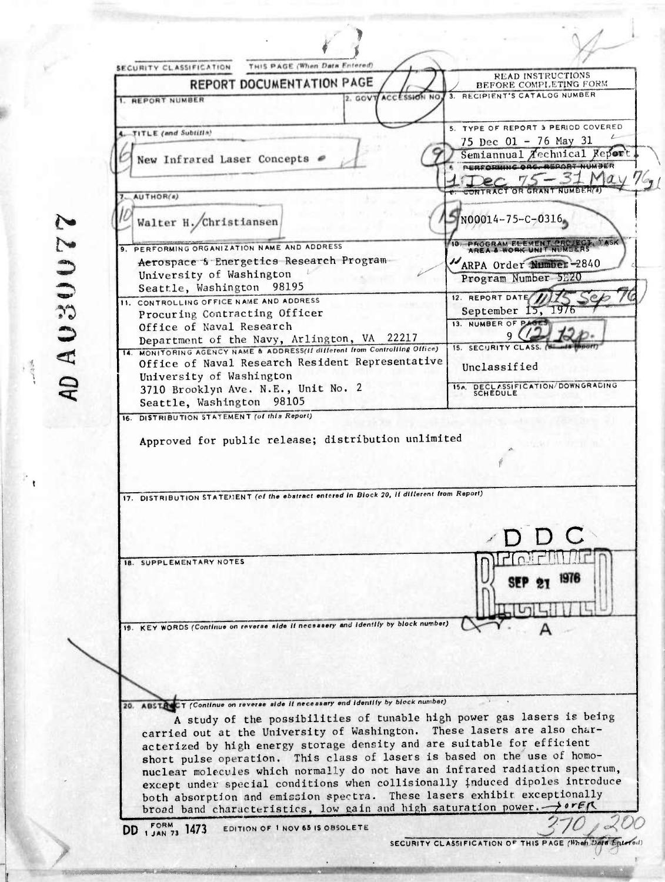THIS PAGE (When Data Entered) SECURITY CLASSIFICATION **READ INSTRUCTIONS REPORT DOCUMENTATION PAGE** BEFORE COMPLETING FORM RECIPIENT'S CATALOG NUMBER 2. GOVT ACCESSION NO 1. REPORT NUMBER 5. TYPE OF REPORT 3 PERIOD COVERED TITLE (and Subtitle) 4. 75 Dec 01 - 76 May 31 Semiannual Aechnical Report New Infrared Laser Concepts 6 PERFORMING ORG. REPORT NUMBER  $75 - 31$  May Der CONTRACT OR GRANT NUMBER( AUTHOR(s) Walter H./Christiansen N00014-75-C-0316 9. PERFORMING ORGANIZATION NAME AND ADDRESS N T. NI MEERS Aerospace & Energetics Research Program ARPA Order Number-2840 University of Washington Program Number 5E20 Seattle, Washington 98195 12. REPORT DATE 11. CONTROLLING OFFICE NAME AND ADDRESS September 15,  $1976$ Procuring Contracting Officer 13. NUMBER OF PAST Office of Naval Research Department of the Navy, Arlington, VA 22217 15. SECURITY CLASS. 14. MONITORING AGENCY NAME & ADDRESS(II different from Controlling Office) Office of Naval Research Resident Representative Unclassified University of Washington 154. DECLASSIFICATION/DOWNGRADING 3710 Brooklyn Ave. N.E., Unit No. 2 Seattle, Washington 98105 16. DISTRIBUTION STATEMENT (of this Report) Approved for public release; distribution unlimited 17. DISTRIBUTION STATEMENT (of the ebstract entered in Block 20, if different from Report) **18. SUPPLEMENTARY NOTES** 19. KEY WORDS (Continue on reverse aide if necessary and identify by block number) 20. ABSTR CT (Continue on reverse side if necessary end identify by block number) A study of the possibilities of tunable high power gas lasers is being carried out at the University of Washington. These lasers are also characterized by high energy storage density and are suitable for efficient short pulse operation. This class of lasers is based on the use of homonuclear molecules which normally do not have an infrared radiation spectrum, except under special conditions when collisionally induced dipoles introduce both absorption and emission spectra. These lasers exhibit exceptionally broad band characteristics, low gain and high saturation power. > orest DD 1 JAN 73 1473 EDITION OF 1 NOV 65 IS OBSOLETE

2200800 UV

SECURITY CLASSIFICATION OF THIS PAGE (When Data Ente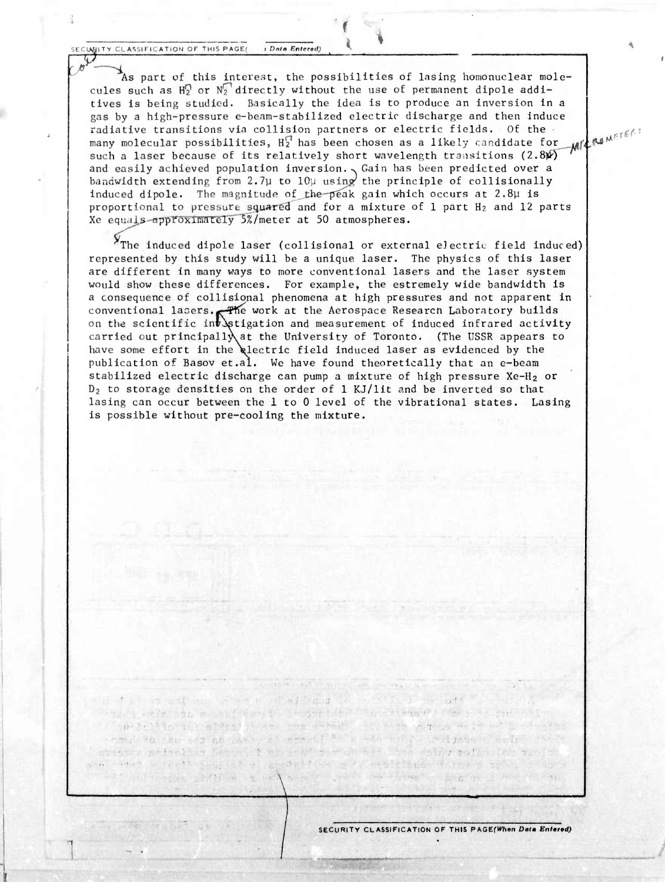**A.L.CO.**<br> **A.L.COO <sup>i</sup>** *Dtttti Fntrroti)*

*<sup>r</sup> #*

As part of this interest, the possibilities of lasing homonuclear molecules such as  $\texttt{H}^\textsf{O}_2$  or  $\texttt{N}^\textsf{I}_2$  directly without the use of permanent dipole additives is being studied. Basically the idea is to produce an inversion in a gas by a high-pressure e-beam-stabilized electric discharge and then induce radiative transitions via collision partners or electric fields. Of the many molecular possibilities,  $H_2^{\uparrow\prime}$  has been chosen as a likely candidate for  $_{\mathcal{M}/\mathcal{L}}$ such a laser because of its relatively short wavelength transitions  $(2.8\%)$ and easily achieved population inversion. Sain has been predicted over a bandwidth extending from 2.7 $\mu$  to 10 $\mu$  using the principle of collisionally induced dipole. The magnitude of the peak gain which occurs at 2.8µ is proportional to pressure squared and for a mixture of <sup>1</sup> part H2 and 12 parts Xe equals-approximately  $5\%$ /meter at 50 atmospheres.

M *\*&>..*

**f I**

<sup>X</sup>The induced dipole laser (collisional or external electric field induced) represented by this study will be a unique laser. The physics of this laser are different in many ways to more conventional lasers and the laser system would show these differences. For example, the estremely wide bandwidth is a consequence of collisional phenomena at high pressures and not apparent in conventional lasers. The work at the Aerospace Research Laboratory builds on the scientific in $\bar{t}$  Astigation and measurement of induced infrared activity carried out principally at the University of Toronto. (The USSR appears to have some effort in the electric field induced laser as evidenced by the publication of Basov et.al. We have found theoretically that an e-beam stabilized electric discharge can pump a mixture of high pressure Xe-H<sub>2</sub> or D2 to storage densities on the order of 1 KJ/lit and be inverted so that lasing can occur between the 1 to 0 level of the vibrational states. Lasing is possible without pre-cooling the mixture.

HUSSEN STATISTICS AND CONSTRUCT

wind rulled the chart

and with the signal property of the state of the state of the state of the state of the company ables to the me debt . I have computed with a factor would to the set no laws, at straight in who wind to do note that the where present form the server in the will be the different of the veries. e vent a varia singular el agora fost ma Cestitane vizen a salva el agor

**SECURITY CLASSIFICATION OF THIS PAGEfWhan** *Detm Enfrtd)*

The company of the company of the company of the company of the company of the company of the company of

 $\frac{1}{2}$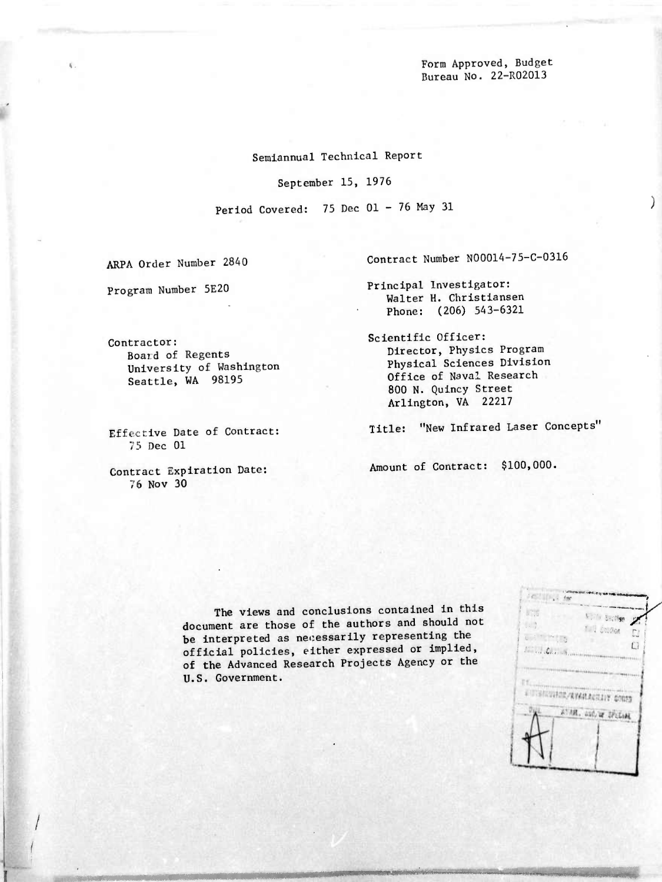Form Approved, Budget Bureau No. 22-R02013

.

 $\mathcal{L}$ 

Semiannual Technical Report

September 15, 1976

Period Covered: 75 Dec 01 - 76 May 31

ARPA Order Number 28A0

Program Number 5E20

Contract Number N00014-75-C-0316

Principal Investigator: Walter H. Christiansen Phone: (206) 543-6321

Scientific Officer: Director, Physics Program Physical Sciences Division Office of Naval Research 800 N. Quincy Street Arlington, VA 22217

Title: "New Infrared Laser Concepts'

Amount of Contract: \$100,000.

The views and conclusions contained in this document are those of the authors and should not be interpreted as necessarily representing the official policies, either expressed or implied, of the Advanced Research Projects Agency or the U.S. Government.

*mmmmmmmmi*

Contractor: Board of Regents University of Washington Seattle, WA 98195

Effective Date of Contract: 75 Dec 01

Contract Expiration Date: 76 Nov 30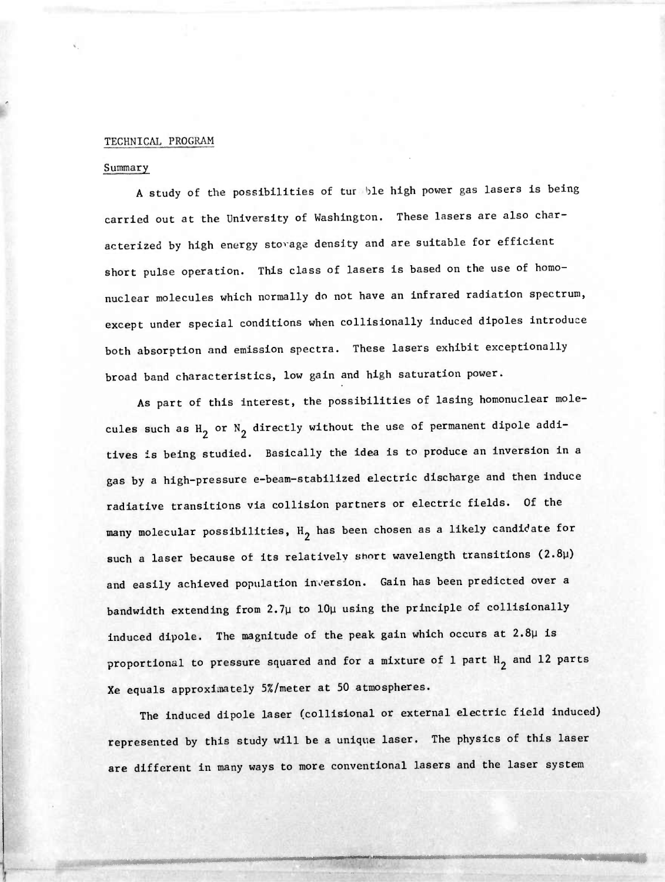## TECHNICAI. PROGRAM

## Summary

"\*• ""' ' ...;.,.-,....,-,..> ,.

A study of the possibilities of tur *hie* high power gas lasers is being carried out at the University of Washington. These lasers are also characterized by high energy stovage density and are suitable for efficient short pulse operation. This class of lasers is based on the use of homonuclear molecules which normally do not have an infrared radiation spectrum, except under special conditions when collisionally induced dipoles introduce both absorption and emission spectra. These lasers exhibit exceptionally broad band characteristics, low gain and high saturation power.

As part of this interest, the possibilities of lasing homonuclear molecules such as  $H_2$  or  $N_2$  directly without the use of permanent dipole additives is being studied. Basically the idea is to produce an inversion in a gas by a high-pressure e-beam-stabilized electric discharge and then induce radiative transitions via collision partners or electric fields. Of the many molecular possibilities,  $H_2$  has been chosen as a likely candidate for such a laser because of its relatively short wavelength transitions  $(2.8\mu)$ and easily achieved population inversion. Gain has been predicted over a bandwidth extending from 2.7y to lOy using the principle of collisionally induced dipole. The magnitude of the peak gain which occurs at 2.8y is proportional to pressure squared and for a mixture of 1 part  $H_2$  and 12 parts Xe equals approxiaately 5%/meter at 50 atmospheres.

The induced dipole laser (collisional or external electric field induced) represented by this study will be a unique laser. The physics of this laser are different in many ways to more conventional lasers and the laser system

*mmmmmmmmmmmmmm* **.n. n. <sup>&</sup>gt; . ."..».. .».«w»—** *^»^^..mmmm* **m.** *<sup>n</sup>mmmmmMi mmmmm*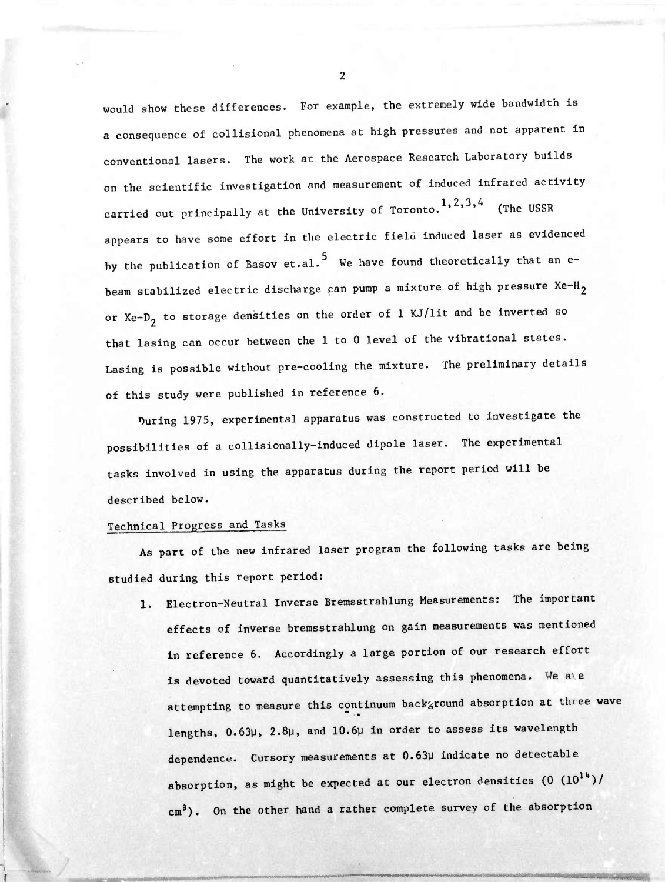would show these differences. For example, the extremely wide bandwidth is a consequence of collisional phenomena at high pressures and not apparent in conventional lasers. The work ac the Aerospace Research Laboratory builds on the scientific investigation and measurement of induced infrared activity carried out principally at the University of Toronto.<sup>1,2,3,4</sup> (The USSR appears to have some effort in the electric field induced laser as evidenced by the publication of Basov et.al.<sup>5</sup> We have found theoretically that an ebeam stabilized electric discharge can pump a mixture of high pressure  $Xe-H_2$ or Xe- $D_2$  to storage densities on the order of 1 KJ/lit and be inverted so that lasing can occur between the 1 to 0 level of the vibrational states. Lasing is possible without pre-cooling the mixture. The preliminary details of this study were published in reference 6.

During 1975, experimental apparatus was constructed to investigate the possibilities of a collisionally-induced dipole laser. The experimental tasks involved in using the apparatus during the report period will be described below.

## Technical Progress and Tasks

As part of the new infrared laser program the following tasks are being studied during this report period:

1. Electron-Neutral Inverse Bremsstrahlung Measurements: The important effects of inverse bremsstrahlung on gain measurements was mentioned in reference 6. Accordingly a large portion of our research effort is devoted toward quantitatively assessing this phenomena. We are attempting to measure this continuum background absorption at three wave lengths, 0.63y, 2.8y, and 10.6y in order to assess its wavelength dependence. Cursory measurements at 0.63y indicate no detectable absorption, as might be expected at our electron densities  $(0 (10^{14})/$ cm<sup>3</sup>). On the other hand a rather complete survey of the absorption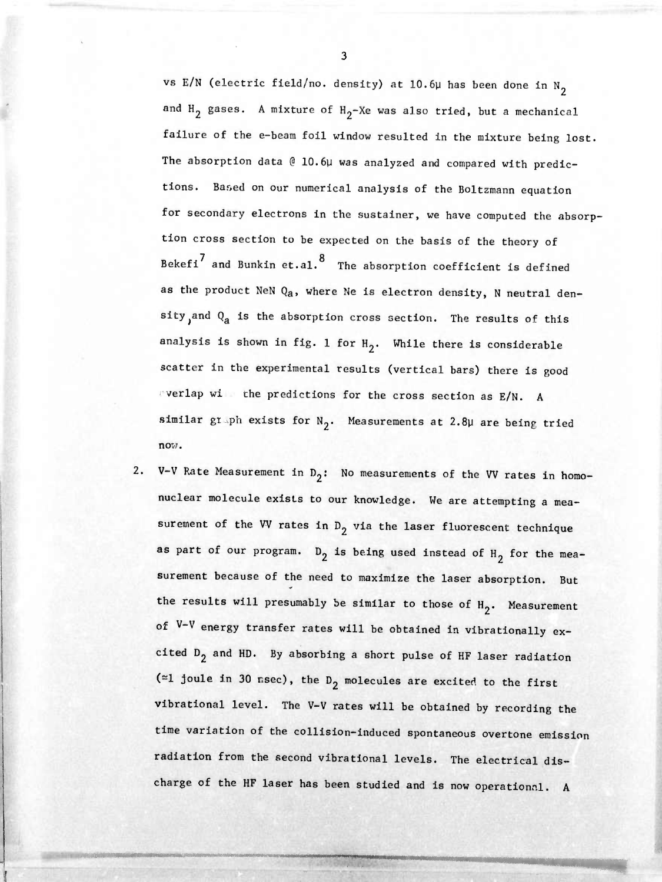vs E/N (electric field/no. density) at 10.6µ has been done in  $N_2$ and  $H_2$  gases. A mixture of  $H_2$ -Xe was also tried, but a mechanical failure of the e-beam foil window resulted In the mixture being lost. The absorption data @ 10.6µ was analyzed and compared with predictions. Based on our numerical analysis of the Boltzmann equation for secondary electrons in the sustalner, we have computed the absorption cross section to be expected on the basis of the theory of Bekefi $^\prime$  and Bunkin et.al.  $^8$  The absorption coefficient is defined as the product NeN  $Q_a$ , where Ne is electron density, N neutral density, and  $Q_a$  is the absorption cross section. The results of this analysis is shown in fig. 1 for  $H_2$ . While there is considerable scatter in the experimental results (vertical bars) there is good verlap wi the predictions for the cross section as E/N. A similar graph exists for  $N_2$ . Measurements at 2.8µ are being tried now.

2. V-V Rate Measurement in  $D_2$ : No measurements of the VV rates in homonuclear molecule exists to our knowledge. We are attempting a measurement of the WV rates in  $D_2$  via the laser fluorescent technique as part of our program.  $D_2$  is being used instead of  $H_2$  for the measurement because of the need to maximize the laser absorption. But the results will presumably be similar to those of  $H_2$ . Measurement of V-V energy transfer rates will be obtained in vibrationally excited  $D_2$  and HD. By absorbing a short pulse of HF laser radiation ( $\simeq$ 1 joule in 30 nsec), the D<sub>2</sub> molecules are excited to the first vibrational level. The V-V rates will be obtained by recording the time variation of the collision-induced spontaneous overtone emission radiation from the second vlbrational levels. The electrical discharge of the HF laser has been studied and is now operational. A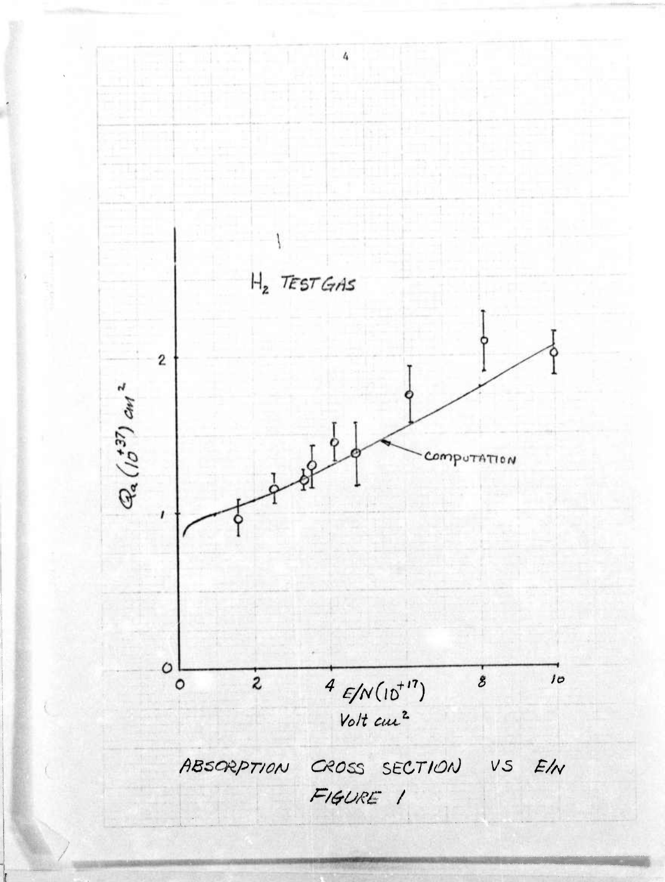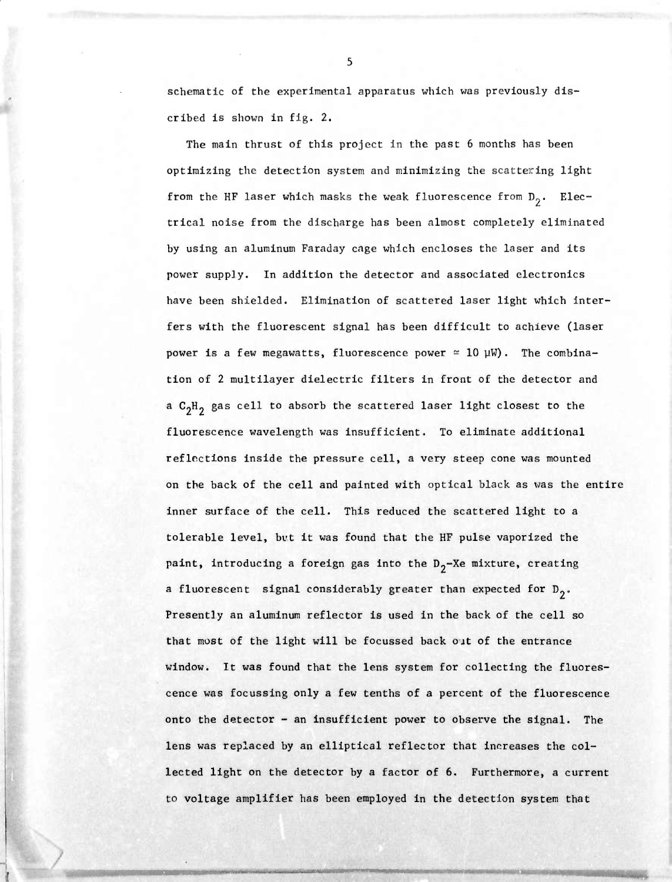schematic of the experimental apparatus which was previously discribed is shown in fig. 2.

fOV ^.V-.^J^M^^ *:^.-K^\*Ar-m-r^:- ^'t^* ^ :7.^v-.;.'^'-'^i^ ,!,,; ;.|,<:;^.v<sup>1</sup> ., ,, ;

The main thrust of this project in the past 6 months has been optimizing the detection system and minimizing the scattering light from the HF laser which masks the weak fluorescence from  $D_2$ . Electrical noise from the discharge has been almost completely eliminated by using an aluminum Faraday cage which encloses the laser and its power supply. In addition the detector and associated electronics have been shielded. Elimination of scattered laser light which interfers with the fluorescent signal has been difficult to achieve (laser power is a few megawatts, fluorescence power  $\approx$  10  $\mu$ W). The combination of 2 multilayer dielectric filters in front of the detector and a  $C_2H_2$  gas cell to absorb the scattered laser light closest to the fluorescence wavelength was insufficient. To eliminate additional reflections inside the pressure cell, a very steep cone was mounted on the back of the cell and painted with optical black as was the entire inner surface of the cell. This reduced the scattered light to a tolerable level, but it was found that the HF pulse vaporized the paint, introducing a foreign gas into the  $D_2$ -Xe mixture, creating a fluorescent signal considerably greater than expected for  $D_2$ . Presently an aluminum reflector is used in the back of the cell so that most of the light will be focussed back out of the entrance window. It was found that the lens system for collecting the fluorescence was focussing only a few tenths of a percent of the fluorescence onto the detector - an insufficient power to observe the signal. The lens was replaced by an elliptical reflector that increases the collected light on the detector by a factor of 6. Furthermore, a current to voltage amplifier has been employed in the detection system that

i'n'i'ni--iii isaacaana fiirinta fiirinta fiirinta fiirinta fiirinta fiirinta fiirinta fiirinta fiirinta fiiri

Mathematic Control of the United States

**/**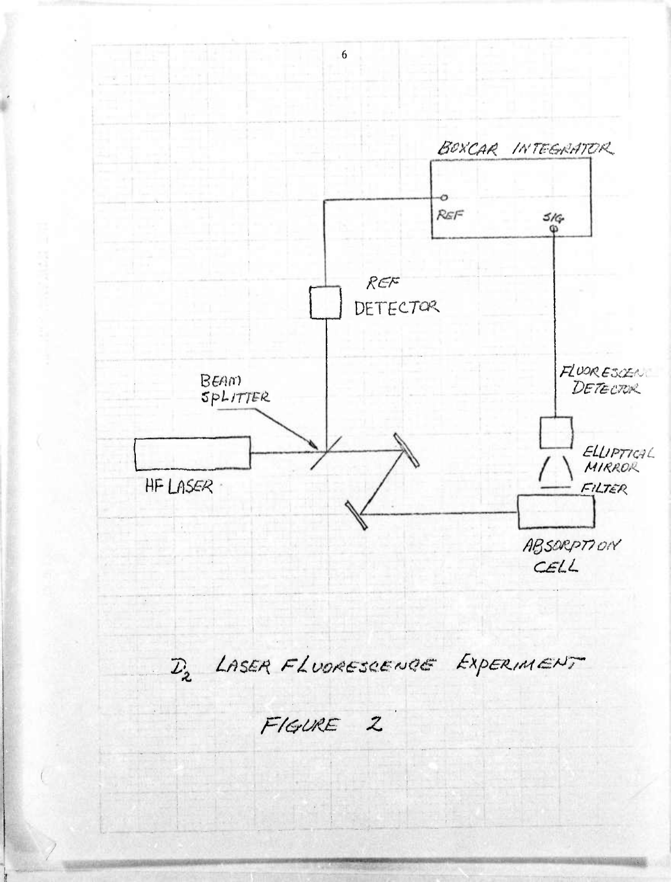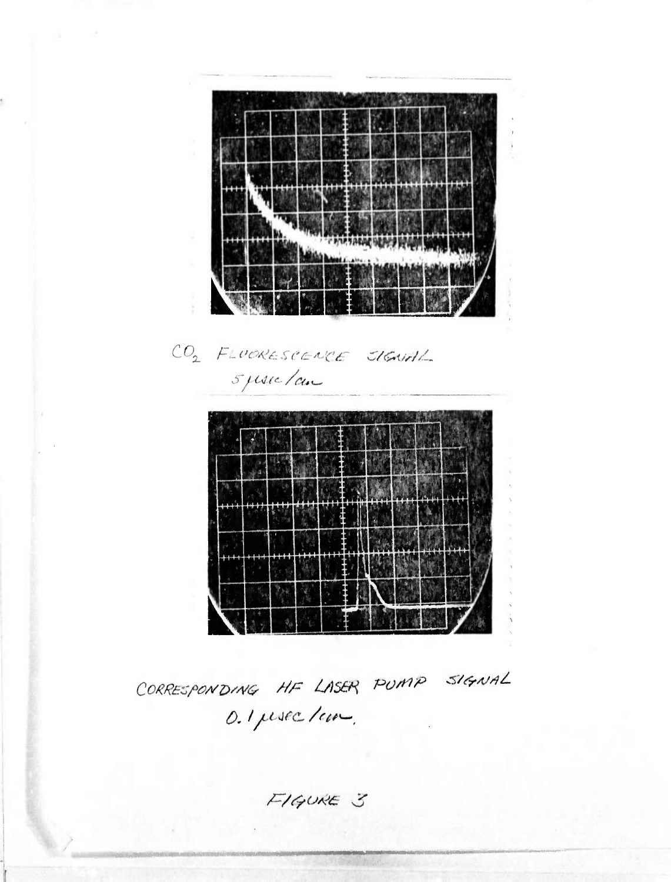

CORRESPONDING HF LASER PUMP SIGNAL O. I persec / com.

FIGURE 3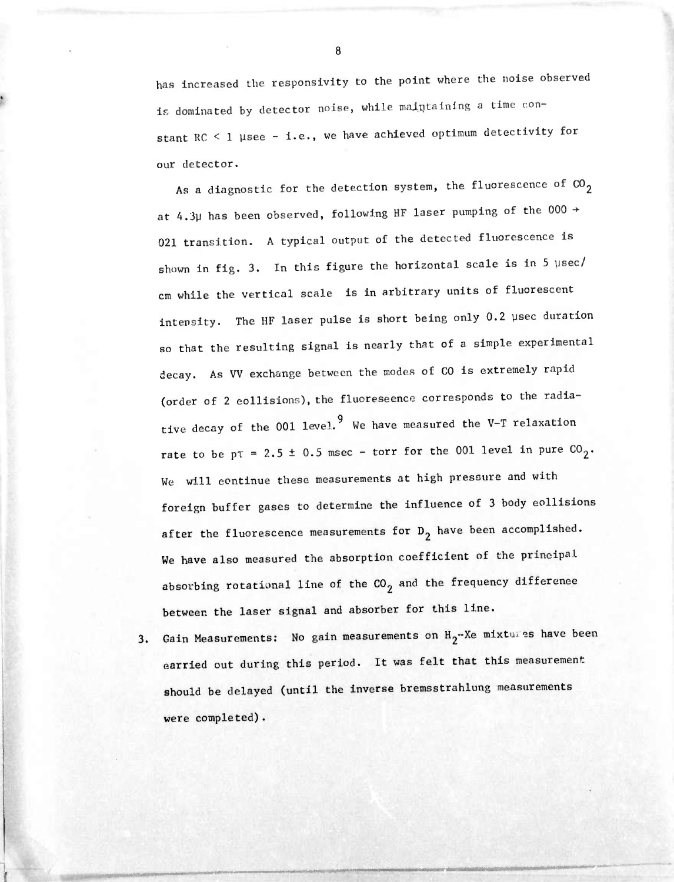has increased the responsivity to the point where the noise observed is dominated by detector noise, while maintaining a time constant RC < 1 µsee - i.e., we have achieved optimum detectivity for our detector.

**,** *.-':..-i-l.: :*■■■*/ . ' ' ' '* **-'**

As a diagnostic for the detection system, the fluorescence of  $CO_2$ at 4.3µ has been observed, following HF laser pumping of the 000  $\rightarrow$ 021 transition. A typical output of the detected fluorescence is shown in fig. 3. In this figure the horizontal scale is in 5 usec/ cm while the vertical scale is in arbitrary units of fluorescent Intensity. The HF laser pulse is short being only 0.2 ysec duration so that the resulting signal is nearly that of a simple experimental decay. As VV exchange between the modes of CO is extremely rapid (order of 2 collisions), the fluorescence corresponds to the radiative decay of the 001 level.<sup>9</sup> We have measured the V-T relaxation rate to be  $p\tau = 2.5 \pm 0.5$  msec - torr for the 001 level in pure  $CO_2$ . We will continue these measurements at high pressure and with foreign buffer gases to determine the influence of 3 body collisions after the fluorescence measurements for  $D_2$  have been accomplished. We have also measured the absorption coefficient of the prineipal absorbing rotational line of the  $co_2$  and the frequency difference between the laser signal and absorber for this line.

3. Gain Measurements: No gain measurements on H<sub>2</sub>-Xe mixtures have been carried out during this period. It was felt that this measurement should be delayed (until the inverse bremsstrahlung measurements were completed).